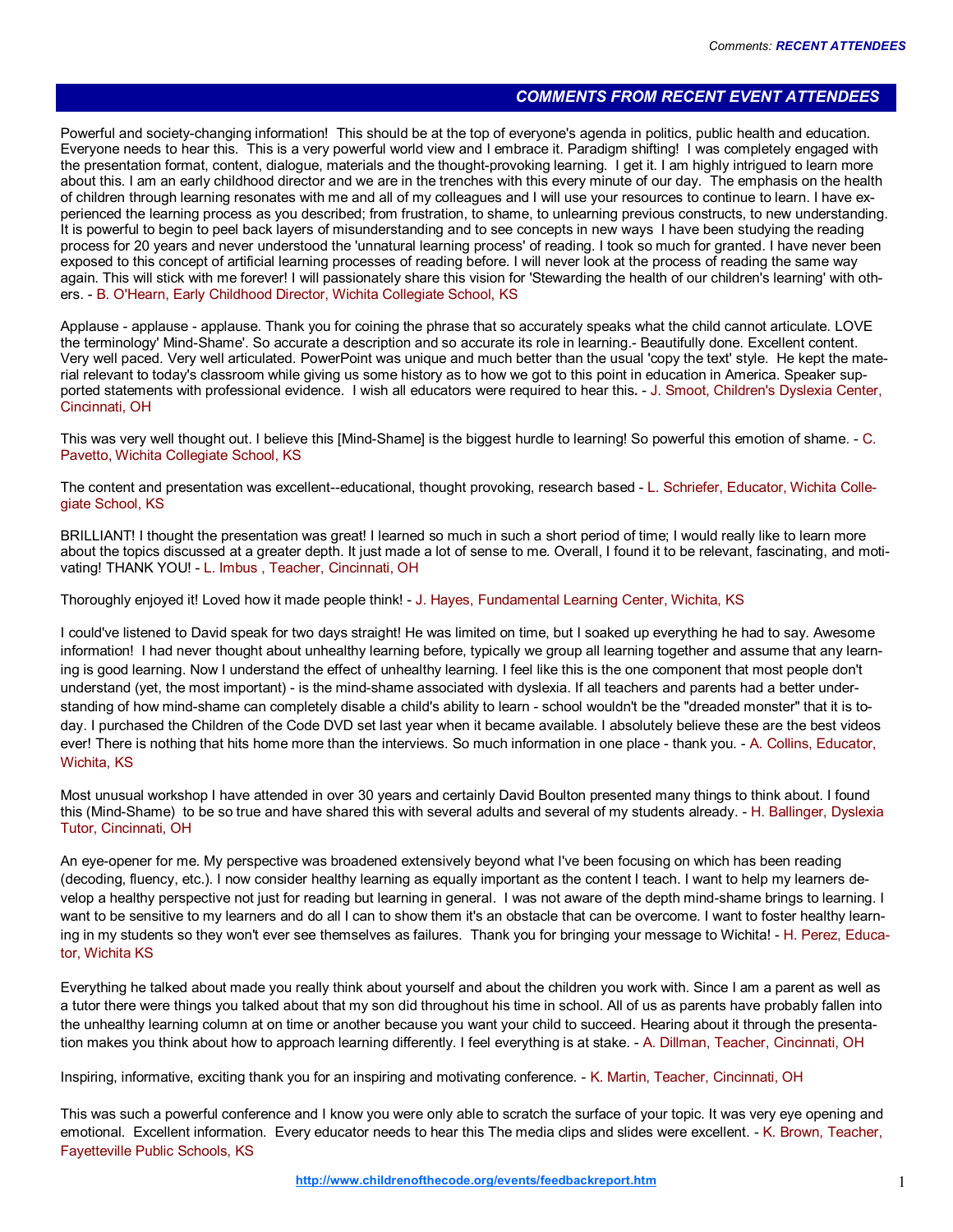## COMMENTS FROM RECENT EVENT ATTENDEES

Powerful and society-changing information! This should be at the top of everyone's agenda in politics, public health and education. Everyone needs to hear this. This is a very powerful world view and I embrace it. Paradigm shifting! I was completely engaged with the presentation format, content, dialogue, materials and the thought-provoking learning. I get it. I am highly intrigued to learn more about this. I am an early childhood director and we are in the trenches with this every minute of our day. The emphasis on the health of children through learning resonates with me and all of my colleagues and I will use your resources to continue to learn. I have experienced the learning process as you described; from frustration, to shame, to unlearning previous constructs, to new understanding. It is powerful to begin to peel back layers of misunderstanding and to see concepts in new ways I have been studying the reading process for 20 years and never understood the 'unnatural learning process' of reading. I took so much for granted. I have never been exposed to this concept of artificial learning processes of reading before. I will never look at the process of reading the same way again. This will stick with me forever! I will passionately share this vision for 'Stewarding the health of our children's learning' with others. - B. O'Hearn, Early Childhood Director, Wichita Collegiate School, KS

Applause - applause - applause. Thank you for coining the phrase that so accurately speaks what the child cannot articulate. LOVE the terminology' Mind-Shame'. So accurate a description and so accurate its role in learning.- Beautifully done. Excellent content. Very well paced. Very well articulated. PowerPoint was unique and much better than the usual 'copy the text' style. He kept the material relevant to today's classroom while giving us some history as to how we got to this point in education in America. Speaker supported statements with professional evidence. I wish all educators were required to hear this. - J. Smoot, Children's Dyslexia Center, Cincinnati, OH

This was very well thought out. I believe this [Mind-Shame] is the biggest hurdle to learning! So powerful this emotion of shame. - C. Pavetto, Wichita Collegiate School, KS

The content and presentation was excellent--educational, thought provoking, research based - L. Schriefer, Educator, Wichita Collegiate School, KS

BRILLIANT! I thought the presentation was great! I learned so much in such a short period of time; I would really like to learn more about the topics discussed at a greater depth. It just made a lot of sense to me. Overall, I found it to be relevant, fascinating, and motivating! THANK YOU! - L. Imbus , Teacher, Cincinnati, OH

Thoroughly enjoyed it! Loved how it made people think! - J. Hayes, Fundamental Learning Center, Wichita, KS

I could've listened to David speak for two days straight! He was limited on time, but I soaked up everything he had to say. Awesome information! I had never thought about unhealthy learning before, typically we group all learning together and assume that any learning is good learning. Now I understand the effect of unhealthy learning. I feel like this is the one component that most people don't understand (yet, the most important) - is the mind-shame associated with dyslexia. If all teachers and parents had a better understanding of how mind-shame can completely disable a child's ability to learn - school wouldn't be the "dreaded monster" that it is today. I purchased the Children of the Code DVD set last year when it became available. I absolutely believe these are the best videos ever! There is nothing that hits home more than the interviews. So much information in one place - thank you. - A. Collins, Educator, Wichita, KS

Most unusual workshop I have attended in over 30 years and certainly David Boulton presented many things to think about. I found this (Mind-Shame) to be so true and have shared this with several adults and several of my students already. - H. Ballinger, Dyslexia Tutor, Cincinnati, OH

An eye-opener for me. My perspective was broadened extensively beyond what I've been focusing on which has been reading (decoding, fluency, etc.). I now consider healthy learning as equally important as the content I teach. I want to help my learners develop a healthy perspective not just for reading but learning in general. I was not aware of the depth mind-shame brings to learning. I want to be sensitive to my learners and do all I can to show them it's an obstacle that can be overcome. I want to foster healthy learning in my students so they won't ever see themselves as failures. Thank you for bringing your message to Wichita! - H. Perez, Educator, Wichita KS

Everything he talked about made you really think about yourself and about the children you work with. Since I am a parent as well as a tutor there were things you talked about that my son did throughout his time in school. All of us as parents have probably fallen into the unhealthy learning column at on time or another because you want your child to succeed. Hearing about it through the presentation makes you think about how to approach learning differently. I feel everything is at stake. - A. Dillman, Teacher, Cincinnati, OH

Inspiring, informative, exciting thank you for an inspiring and motivating conference. - K. Martin, Teacher, Cincinnati, OH

This was such a powerful conference and I know you were only able to scratch the surface of your topic. It was very eye opening and emotional. Excellent information. Every educator needs to hear this The media clips and slides were excellent. - K. Brown, Teacher, Fayetteville Public Schools, KS